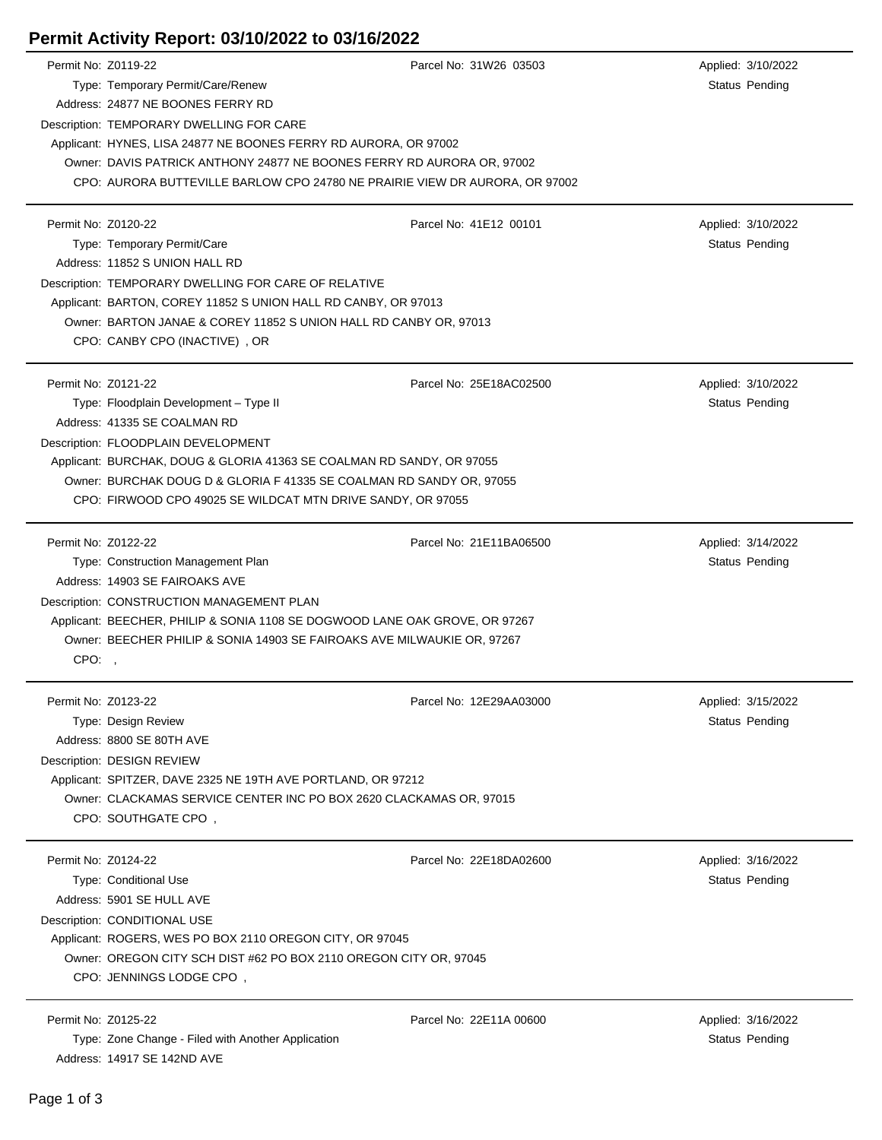## **Permit Activity Report: 03/10/2022 to 03/16/2022**

| Permit No: Z0119-22 |                                                                             | Parcel No: 31W26 03503  |  | Applied: 3/10/2022    |  |  |
|---------------------|-----------------------------------------------------------------------------|-------------------------|--|-----------------------|--|--|
|                     | Type: Temporary Permit/Care/Renew                                           |                         |  | Status Pending        |  |  |
|                     | Address: 24877 NE BOONES FERRY RD                                           |                         |  |                       |  |  |
|                     | Description: TEMPORARY DWELLING FOR CARE                                    |                         |  |                       |  |  |
|                     | Applicant: HYNES, LISA 24877 NE BOONES FERRY RD AURORA, OR 97002            |                         |  |                       |  |  |
|                     | Owner: DAVIS PATRICK ANTHONY 24877 NE BOONES FERRY RD AURORA OR, 97002      |                         |  |                       |  |  |
|                     | CPO: AURORA BUTTEVILLE BARLOW CPO 24780 NE PRAIRIE VIEW DR AURORA, OR 97002 |                         |  |                       |  |  |
|                     |                                                                             |                         |  |                       |  |  |
| Permit No: Z0120-22 |                                                                             | Parcel No: 41E12 00101  |  | Applied: 3/10/2022    |  |  |
|                     | Type: Temporary Permit/Care                                                 |                         |  | <b>Status Pending</b> |  |  |
|                     | Address: 11852 S UNION HALL RD                                              |                         |  |                       |  |  |
|                     | Description: TEMPORARY DWELLING FOR CARE OF RELATIVE                        |                         |  |                       |  |  |
|                     | Applicant: BARTON, COREY 11852 S UNION HALL RD CANBY, OR 97013              |                         |  |                       |  |  |
|                     | Owner: BARTON JANAE & COREY 11852 S UNION HALL RD CANBY OR, 97013           |                         |  |                       |  |  |
|                     | CPO: CANBY CPO (INACTIVE), OR                                               |                         |  |                       |  |  |
|                     |                                                                             |                         |  |                       |  |  |
| Permit No: Z0121-22 |                                                                             | Parcel No: 25E18AC02500 |  | Applied: 3/10/2022    |  |  |
|                     |                                                                             |                         |  |                       |  |  |
|                     | Type: Floodplain Development - Type II                                      |                         |  | Status Pending        |  |  |
|                     | Address: 41335 SE COALMAN RD                                                |                         |  |                       |  |  |
|                     | Description: FLOODPLAIN DEVELOPMENT                                         |                         |  |                       |  |  |
|                     | Applicant: BURCHAK, DOUG & GLORIA 41363 SE COALMAN RD SANDY, OR 97055       |                         |  |                       |  |  |
|                     | Owner: BURCHAK DOUG D & GLORIA F 41335 SE COALMAN RD SANDY OR, 97055        |                         |  |                       |  |  |
|                     | CPO: FIRWOOD CPO 49025 SE WILDCAT MTN DRIVE SANDY, OR 97055                 |                         |  |                       |  |  |
|                     |                                                                             |                         |  |                       |  |  |
| Permit No: Z0122-22 |                                                                             | Parcel No: 21E11BA06500 |  | Applied: 3/14/2022    |  |  |
|                     | Type: Construction Management Plan                                          |                         |  | <b>Status Pending</b> |  |  |
|                     | Address: 14903 SE FAIROAKS AVE                                              |                         |  |                       |  |  |
|                     | Description: CONSTRUCTION MANAGEMENT PLAN                                   |                         |  |                       |  |  |
|                     | Applicant: BEECHER, PHILIP & SONIA 1108 SE DOGWOOD LANE OAK GROVE, OR 97267 |                         |  |                       |  |  |
|                     | Owner: BEECHER PHILIP & SONIA 14903 SE FAIROAKS AVE MILWAUKIE OR, 97267     |                         |  |                       |  |  |
| CPO:,               |                                                                             |                         |  |                       |  |  |
|                     |                                                                             |                         |  |                       |  |  |
| Permit No: Z0123-22 |                                                                             | Parcel No: 12E29AA03000 |  | Applied: 3/15/2022    |  |  |
|                     | Type: Design Review                                                         |                         |  | Status Pending        |  |  |
|                     | Address: 8800 SE 80TH AVE                                                   |                         |  |                       |  |  |
|                     | Description: DESIGN REVIEW                                                  |                         |  |                       |  |  |
|                     | Applicant: SPITZER, DAVE 2325 NE 19TH AVE PORTLAND, OR 97212                |                         |  |                       |  |  |
|                     | Owner: CLACKAMAS SERVICE CENTER INC PO BOX 2620 CLACKAMAS OR, 97015         |                         |  |                       |  |  |
|                     | CPO: SOUTHGATE CPO,                                                         |                         |  |                       |  |  |
|                     |                                                                             |                         |  |                       |  |  |
| Permit No: Z0124-22 |                                                                             | Parcel No: 22E18DA02600 |  | Applied: 3/16/2022    |  |  |
|                     | Type: Conditional Use                                                       |                         |  | Status Pending        |  |  |
|                     | Address: 5901 SE HULL AVE                                                   |                         |  |                       |  |  |
|                     | Description: CONDITIONAL USE                                                |                         |  |                       |  |  |
|                     | Applicant: ROGERS, WES PO BOX 2110 OREGON CITY, OR 97045                    |                         |  |                       |  |  |
|                     | Owner: OREGON CITY SCH DIST #62 PO BOX 2110 OREGON CITY OR, 97045           |                         |  |                       |  |  |
|                     | CPO: JENNINGS LODGE CPO,                                                    |                         |  |                       |  |  |
|                     |                                                                             |                         |  |                       |  |  |
| Permit No: Z0125-22 |                                                                             | Parcel No: 22E11A 00600 |  | Applied: 3/16/2022    |  |  |
|                     | Type: Zone Change - Filed with Another Application                          |                         |  | Status Pending        |  |  |
|                     | Address: 14917 SE 142ND AVE                                                 |                         |  |                       |  |  |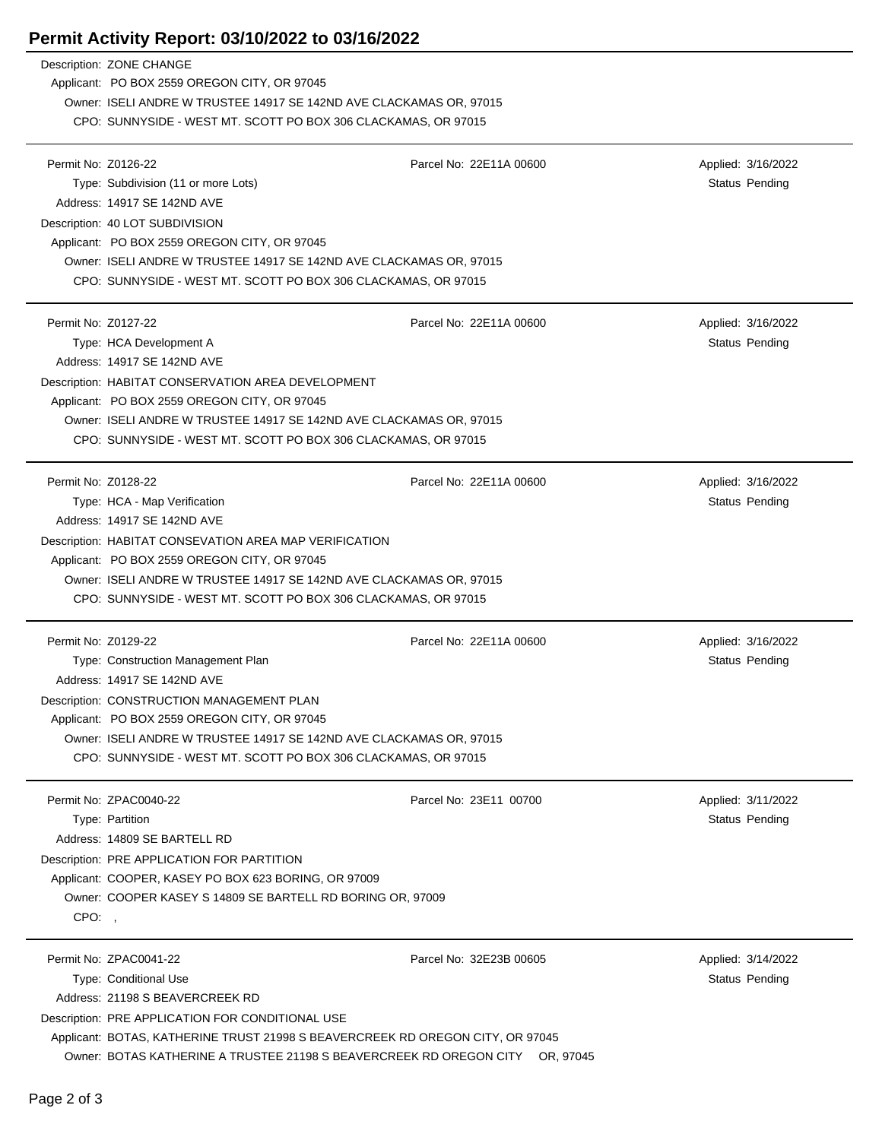## **Permit Activity Report: 03/10/2022 to 03/16/2022**

|                     | Description: ZONE CHANGE                                                                                                              |                         |                       |  |  |  |
|---------------------|---------------------------------------------------------------------------------------------------------------------------------------|-------------------------|-----------------------|--|--|--|
|                     | Applicant: PO BOX 2559 OREGON CITY, OR 97045                                                                                          |                         |                       |  |  |  |
|                     | Owner: ISELI ANDRE W TRUSTEE 14917 SE 142ND AVE CLACKAMAS OR, 97015                                                                   |                         |                       |  |  |  |
|                     | CPO: SUNNYSIDE - WEST MT. SCOTT PO BOX 306 CLACKAMAS, OR 97015                                                                        |                         |                       |  |  |  |
|                     |                                                                                                                                       |                         |                       |  |  |  |
| Permit No: Z0126-22 |                                                                                                                                       | Parcel No: 22E11A 00600 | Applied: 3/16/2022    |  |  |  |
|                     | Type: Subdivision (11 or more Lots)                                                                                                   |                         | Status Pending        |  |  |  |
|                     | Address: 14917 SE 142ND AVE                                                                                                           |                         |                       |  |  |  |
|                     | Description: 40 LOT SUBDIVISION                                                                                                       |                         |                       |  |  |  |
|                     | Applicant: PO BOX 2559 OREGON CITY, OR 97045                                                                                          |                         |                       |  |  |  |
|                     | Owner: ISELI ANDRE W TRUSTEE 14917 SE 142ND AVE CLACKAMAS OR, 97015                                                                   |                         |                       |  |  |  |
|                     | CPO: SUNNYSIDE - WEST MT. SCOTT PO BOX 306 CLACKAMAS, OR 97015                                                                        |                         |                       |  |  |  |
| Permit No: Z0127-22 |                                                                                                                                       | Parcel No: 22E11A 00600 | Applied: 3/16/2022    |  |  |  |
|                     | Type: HCA Development A                                                                                                               |                         | Status Pending        |  |  |  |
|                     | Address: 14917 SE 142ND AVE                                                                                                           |                         |                       |  |  |  |
|                     |                                                                                                                                       |                         |                       |  |  |  |
|                     | Description: HABITAT CONSERVATION AREA DEVELOPMENT                                                                                    |                         |                       |  |  |  |
|                     | Applicant: PO BOX 2559 OREGON CITY, OR 97045                                                                                          |                         |                       |  |  |  |
|                     | Owner: ISELI ANDRE W TRUSTEE 14917 SE 142ND AVE CLACKAMAS OR, 97015<br>CPO: SUNNYSIDE - WEST MT. SCOTT PO BOX 306 CLACKAMAS, OR 97015 |                         |                       |  |  |  |
|                     |                                                                                                                                       |                         |                       |  |  |  |
| Permit No: Z0128-22 |                                                                                                                                       | Parcel No: 22E11A 00600 | Applied: 3/16/2022    |  |  |  |
|                     | Type: HCA - Map Verification                                                                                                          |                         | <b>Status Pending</b> |  |  |  |
|                     | Address: 14917 SE 142ND AVE                                                                                                           |                         |                       |  |  |  |
|                     | Description: HABITAT CONSEVATION AREA MAP VERIFICATION                                                                                |                         |                       |  |  |  |
|                     | Applicant: PO BOX 2559 OREGON CITY, OR 97045                                                                                          |                         |                       |  |  |  |
|                     | Owner: ISELI ANDRE W TRUSTEE 14917 SE 142ND AVE CLACKAMAS OR, 97015                                                                   |                         |                       |  |  |  |
|                     | CPO: SUNNYSIDE - WEST MT. SCOTT PO BOX 306 CLACKAMAS, OR 97015                                                                        |                         |                       |  |  |  |
|                     |                                                                                                                                       |                         |                       |  |  |  |
| Permit No: Z0129-22 |                                                                                                                                       | Parcel No: 22E11A 00600 | Applied: 3/16/2022    |  |  |  |
|                     | Type: Construction Management Plan<br>Address: 14917 SE 142ND AVE                                                                     |                         | Status Pending        |  |  |  |
|                     |                                                                                                                                       |                         |                       |  |  |  |
|                     | Description: CONSTRUCTION MANAGEMENT PLAN<br>Applicant: PO BOX 2559 OREGON CITY, OR 97045                                             |                         |                       |  |  |  |
|                     | Owner: ISELI ANDRE W TRUSTEE 14917 SE 142ND AVE CLACKAMAS OR, 97015                                                                   |                         |                       |  |  |  |
|                     | CPO: SUNNYSIDE - WEST MT. SCOTT PO BOX 306 CLACKAMAS, OR 97015                                                                        |                         |                       |  |  |  |
|                     |                                                                                                                                       |                         |                       |  |  |  |
|                     | Permit No: ZPAC0040-22                                                                                                                | Parcel No: 23E11 00700  | Applied: 3/11/2022    |  |  |  |
|                     | Type: Partition                                                                                                                       |                         | <b>Status Pending</b> |  |  |  |
|                     | Address: 14809 SE BARTELL RD                                                                                                          |                         |                       |  |  |  |
|                     | Description: PRE APPLICATION FOR PARTITION                                                                                            |                         |                       |  |  |  |
|                     | Applicant: COOPER, KASEY PO BOX 623 BORING, OR 97009                                                                                  |                         |                       |  |  |  |
|                     | Owner: COOPER KASEY S 14809 SE BARTELL RD BORING OR, 97009                                                                            |                         |                       |  |  |  |
| CPO:                |                                                                                                                                       |                         |                       |  |  |  |
|                     |                                                                                                                                       |                         |                       |  |  |  |
|                     | Permit No: ZPAC0041-22                                                                                                                | Parcel No: 32E23B 00605 | Applied: 3/14/2022    |  |  |  |
|                     | <b>Type: Conditional Use</b>                                                                                                          |                         | Status Pending        |  |  |  |
|                     | Address: 21198 S BEAVERCREEK RD                                                                                                       |                         |                       |  |  |  |
|                     | Description: PRE APPLICATION FOR CONDITIONAL USE                                                                                      |                         |                       |  |  |  |
|                     | Applicant: BOTAS, KATHERINE TRUST 21998 S BEAVERCREEK RD OREGON CITY, OR 97045                                                        |                         |                       |  |  |  |
|                     | Owner: BOTAS KATHERINE A TRUSTEE 21198 S BEAVERCREEK RD OREGON CITY OR, 97045                                                         |                         |                       |  |  |  |